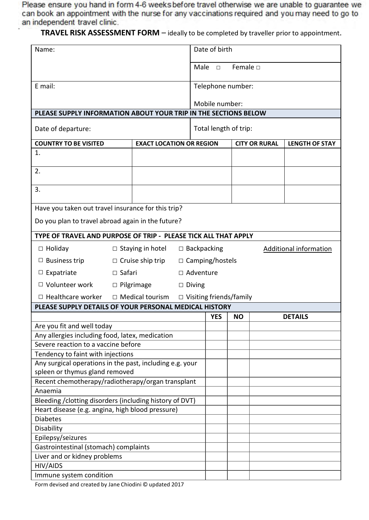lease ensure you hand in form 4-6 weeks before travel otherwise we are unable to guarantee we can book an appointment with the nurse for any vaccinations required and you may need to go to an independent travel clinic.

 **TRAVEL RISK ASSESSMENT FORM** – ideally to be completed by traveller prior to appointment.

| Name:                                                                                                        |                         |                                                          | Date of birth         |                        |                               |  |                       |
|--------------------------------------------------------------------------------------------------------------|-------------------------|----------------------------------------------------------|-----------------------|------------------------|-------------------------------|--|-----------------------|
|                                                                                                              |                         |                                                          |                       | Male<br>$\Box$         | Female $\Box$                 |  |                       |
| E mail:                                                                                                      |                         |                                                          |                       | Telephone number:      |                               |  |                       |
|                                                                                                              |                         |                                                          | Mobile number:        |                        |                               |  |                       |
| PLEASE SUPPLY INFORMATION ABOUT YOUR TRIP IN THE SECTIONS BELOW                                              |                         |                                                          |                       |                        |                               |  |                       |
| Date of departure:                                                                                           |                         |                                                          | Total length of trip: |                        |                               |  |                       |
| <b>COUNTRY TO BE VISITED</b>                                                                                 |                         | <b>EXACT LOCATION OR REGION</b>                          |                       |                        | <b>CITY OR RURAL</b>          |  | <b>LENGTH OF STAY</b> |
| 1.                                                                                                           |                         |                                                          |                       |                        |                               |  |                       |
| 2.                                                                                                           |                         |                                                          |                       |                        |                               |  |                       |
| 3.                                                                                                           |                         |                                                          |                       |                        |                               |  |                       |
| Have you taken out travel insurance for this trip?                                                           |                         |                                                          |                       |                        |                               |  |                       |
| Do you plan to travel abroad again in the future?                                                            |                         |                                                          |                       |                        |                               |  |                       |
| TYPE OF TRAVEL AND PURPOSE OF TRIP - PLEASE TICK ALL THAT APPLY                                              |                         |                                                          |                       |                        |                               |  |                       |
| $\Box$ Holiday                                                                                               | $\Box$ Staying in hotel |                                                          |                       | $\Box$ Backpacking     | <b>Additional information</b> |  |                       |
| <b>Business trip</b><br>Ц                                                                                    | $\Box$ Cruise ship trip |                                                          |                       | $\Box$ Camping/hostels |                               |  |                       |
| $\Box$ Expatriate                                                                                            | $\Box$ Safari           |                                                          |                       | □ Adventure            |                               |  |                       |
| □ Volunteer work                                                                                             | $\Box$ Pilgrimage       |                                                          |                       | $\Box$ Diving          |                               |  |                       |
| $\Box$ Healthcare worker                                                                                     |                         | $\Box$ Medical tourism<br>$\Box$ Visiting friends/family |                       |                        |                               |  |                       |
| PLEASE SUPPLY DETAILS OF YOUR PERSONAL MEDICAL HISTORY                                                       |                         |                                                          |                       |                        |                               |  |                       |
|                                                                                                              |                         |                                                          |                       | <b>YES</b>             | <b>NO</b>                     |  | <b>DETAILS</b>        |
| Are you fit and well today                                                                                   |                         |                                                          |                       |                        |                               |  |                       |
| Any allergies including food, latex, medication<br>Severe reaction to a vaccine before                       |                         |                                                          |                       |                        |                               |  |                       |
| Tendency to faint with injections                                                                            |                         |                                                          |                       |                        |                               |  |                       |
| Any surgical operations in the past, including e.g. your                                                     |                         |                                                          |                       |                        |                               |  |                       |
| spleen or thymus gland removed                                                                               |                         |                                                          |                       |                        |                               |  |                       |
| Recent chemotherapy/radiotherapy/organ transplant                                                            |                         |                                                          |                       |                        |                               |  |                       |
| Anaemia                                                                                                      |                         |                                                          |                       |                        |                               |  |                       |
| Bleeding / clotting disorders (including history of DVT)<br>Heart disease (e.g. angina, high blood pressure) |                         |                                                          |                       |                        |                               |  |                       |
| <b>Diabetes</b>                                                                                              |                         |                                                          |                       |                        |                               |  |                       |
| Disability                                                                                                   |                         |                                                          |                       |                        |                               |  |                       |
| Epilepsy/seizures                                                                                            |                         |                                                          |                       |                        |                               |  |                       |
| Gastrointestinal (stomach) complaints                                                                        |                         |                                                          |                       |                        |                               |  |                       |
| Liver and or kidney problems                                                                                 |                         |                                                          |                       |                        |                               |  |                       |
| HIV/AIDS                                                                                                     |                         |                                                          |                       |                        |                               |  |                       |
| Immune system condition                                                                                      |                         |                                                          |                       |                        |                               |  |                       |

Form devised and created by Jane Chiodini © updated 2017